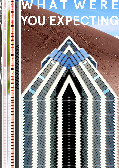# **N** Е R A Ξ VO 6881  $\mathbf{C}$ E

W H A T

A m

**PECTING**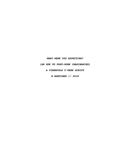# *WHAT WERE YOU EXPECTING?*

*[AN ODE TO POST-WORK IMAGINARIES]* 

*A CYBERFOLK T'WERK SCRIPT* 

*N MORTIMER // 2018*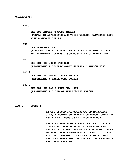### **CHARACTERS:**

#### **XPECTI**

**THE JOB CENTRE FORTUNE TELLER [FEMALE IN APPEARENCE AND VOICE WEARING PATTERNED CAPE WITH A SILVER COLLAR]**

#### **GNO**

**THE WET-COMPUTER [A GLASS TANK WITH ALGEA /POND LIFE - GLOWING LIGHTS AND ELECTRICAL CABLES - SURROUNDED BY CARDBOARD BOX]**

# **BOT 1**

**THE BOT WHO WORKS TOO MUCH [RESEMBLING A GENERIC SMART SPEAKER / AMAZON ECHO]**

#### **BOT 2**

**THE BOT WHO DOESN'T WORK ENOUGH [RESEMBLING A SMALL OLED SCREEN]**

# **BOT 3**

**THE BOT WHO CAN'T FIND ANY WORK [RESEMBLING A CLOUD OF PEARLESCENT VAPOUR]**

**ACT I SCENE 1**

**IN THE INDUSTRIAL OUTSKIRTS OF MAINFRAME CITY, A MODERNIST PYRAMID OF CHROME CONCRETE AND MIRROR RESTS ON THE DESERT FLOOR.**

**THE STRUCTURE HOUSES MANY OFFICES OF A JOB CENTRE AND THIS MORNING 3 CHAT-BOTS WAIT PATIENTLY IN THE OUTDOOR WAITING ROOM, EAGER TO HAVE THEIR EMPLOYMENT FUTURES TOLD. THEY SIT JUST OUTSIDE OF THE OFFICE OF EX PECTI THE JOB-CENTRE FORTUNE TELLER. THE CHAT-BOTS HAVE BEEN CHATTING.**

1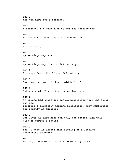**BOT 1** Are you here for a fortune? **BOT 2** A fortune? I'm just glad to get the morning off **BOT 3** Hmmmmm I'm prospecting for a new career **BOT 1** Are we early? **BOT 2** My settings say 9 am **BOT 3** My settings say I am on 20% battery **BOT 2** I always feel like I'm on 20% battery **BOT 1** Have you had your fortune told before? **BOT 3** Unfortunately I have been under-fortuned **BOT 2** My friend had their job centre prediction just the other day and reported a perfectly mundane prediction, very comforting and exactly as expected **BOT 1** Our lives as chat bots can only get better with this kind of career's advice **BOT 3** Yes, I hope it shifts this feeling of a looping monotonous drudgery **BOT 2** Me too, I wonder If we will be waiting long?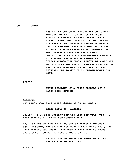**ACT I SCENE 2**

**INSIDE THE OFFICE OF XPECTI THE JOB CENTRE FORTUNE TELLER. A LOW SET OF HEXAGONAL SEATING SURROUNDS A TABLE COVERED IN A VELVET DRAPE, THE LIGHTING IS LOW, AND ON A SEPARATE UNIT STANDS A NEW WET-COMPUTER UNIT CALLED GNO. THIS WET-COMPUTER IS THE TECHNOLOGY THAT GENERATES ALL PREDICTIONS. MORE FABRIC COVERS THE WALLS AND A COLLECTION OF CRYSTALS AND MIRRORS ADORNS A HIGH SHELF. CARDBOARD PACKAGING IS STREWN ACROSS THE FLOOR. XPECTI IS ANGRY DUE TO THIS MORNINGS TRAFFIC AND HER REALISATION THAT A NEW WET-COMPUTER HAD ARRIVED AND REQUIRED HER TO SET IT UP BEFORE BEGINNING WORK.**

#### **XPECTI**

# **HEARD DIALLING UP A PHONE CONSOLE VIA A HANDS FREE HEADSET**

AAAAARGH - Why can't they send these things to me on time!?

## **PHONE RINGING - AUDIBLE**

Hello? - I've been waiting far too long for you! yes ! I need some help with my new fortune unit

No, I am not able to hold, my office opened 5 minutes ago I'm sorry, but your're not even virtually helpful, The last fortune assistant I had wasn't this hard to install and always gave out perfect careers advice!

# **PAUSING XPECTI HOLDS THE PHONE UNIT UP TO THE MACHINE ON HER DESK**

Finally !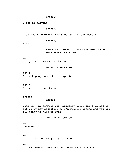### **(PAUSE)**

I see it glowing,

# **(PAUSE)**

I assume it operates the same as the last model?

### **(PAUSE)**

Fine

# **HANGS UP - SOUND OF DISCONNECTING PHONE BOTS SPEAK OFF STAGE**

# **BOT 1**

I'm going to knock on the door

### **SOUND OF KNOCKING**

**BOT 2** I'm not programmed to be impatient

# **BOT 3**

I'm ready for anything

# **XPECTI**

#### **SHOUTS**

Come in ! my commute was typically awful and I've had to set up my new assistant so I'm running behind and you are all going to have to wait.

### **BOTS ENTER OFFICE**

# **BOT 1** Waiting

**BOT 2** I'm so excited to get my fortune told!

# **BOT 3**

I'm 65 percent more excited about this than usual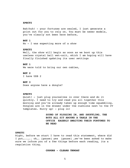#### **XPECTI**

Bah!huh! - your fortunes are sealed, I just generate a print out for you to rely on. You must be newer models, you've clearly not been here before,

### **BOT 1**

No - I was expecting more of a show

## **XPECTI**

Well, the show will begin as soon as we boot up this useless crystal ball wet-unit, which I am hoping will have finally finished updating its user settings

# **BOT 1**

We were told to bring our own cables,

**BOT 2** I have USB 2

# **BOT 3**

Does anyone have a dongle?

### **XPECTI**

Quiet! - just plug yourselves in over there and do it quickly. I need to try and read you all together this morning and you've already taken up enough time squabbling. Dongles are in the drawer under the cushions next to the CV templates. Hurry up! - plug in!

> **SOUND OF PLUGGING IN, AND SHUFFLING, THE BOTS ALL SIT AROUND A TABLE IN THE OFFICE EAGERLY AWAITING THEIR FORTUNES TO BE READ**

## **XPECTI**

Right, before we start I have to read this statement, where did I put......... oh.... [pause] yes [pause] ...we've been asked to make sure we inform you of a few things before each reading, its a regulation thing.

# **COUGHS - CLEARS THROAT**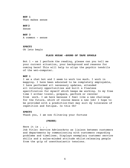**BOT 1** That makes sense

**BOT 2** Sense

**BOT 3** A common - sense

**XPECTI** Ok lets begin

## **PLAYS MUZAK -SOUND OF TAPE SPOOLS**

Bot 1 - as I perform the reading, please can you tell me your current situation, your background and reasons for coming here? This will help to align the psychic tendrils of the wet-computer.

#### **BOT 1**

I am a chat bot and I seem to work too much. I work in mapping. I have been educated to be completely employable, I have performed all necessary updates, attended all voluntary opportunities and built a flawless specification for myself which keeps me working. In my free time I either travel, prepare, perform or recover from work. I am here because I feel like a new challenge for the future, which of course means a new job! I hope to be provided with a prediction that may suit my tolerance of repetition and fatigue. Is this Ok?

#### **XPECTI**

Thank you, I am now filtering your fortune

### **(PAUSE)**

Here it is . . . Job Title: Service AdvisorActs as liaison between customers and departments by communicating with customers regarding problems and timelines. Displays exemplary customer service skills and a sales-minded attitude whilst releasing people from the grip of unenthusiastic tensions.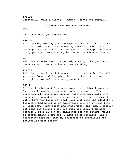### **XPECTI**

Unenthu…….. Wait a minute. Humph? - thats not quite…...

#### **FIDDLES WITH THE WET-COMPUTER**

**BOT 1**

Oh - what were you expecting?

## **XPECTI**

Erm, nothing really, just perhaps something a little more compliant with the usual everyday service advisor job description…..a little less antagonistic perhaps but never mind, perhaps there's a bug in the new machines software

# **BOT 1**

Well its kind of what I expected, although the part about unenthusiastic tension has got me thinking

# **XPECTI**

Well don't dwell on it too much, lets move on Bot 2 could you move forwards? Yes plug that into that, no, that, right!. Now tell me about yourself.

# **BOT 2**

I am a chat bot and I seem to work too little. I work in Queries. I have been educated to be employable, I have performed all necessary updates, attended many voluntary opportunities and built a great specification for myself but I have not found any real work that fits the identity I thought I had build as an employable bot. In my free time I look for, worry about and chase work, and when I finally get some its always a bit too much too late. I am here because I feel like a new challenge for the future, which of course means a new job! I hope to be provided with a prediction that may suit my tolerance of repetition and fatigue. Is that enough?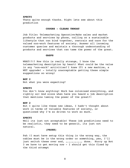#### **XPECTI**

Thats quite enough thanks. Right lets see about this prediction

#### **COUGHS - CLEARS THROAT**

Job Title: Telemarketing Operative Make sales and market products and services by phone, calling on a sustainable lifestyle that can bind together, restrain and care for the valued non-work features of society. Answer all incoming customer queries and maintain a thorough understanding of products and services that can tame the power of the great.

### **GASPS**

WHAT!?!? Now this is really strange, I know the telemarketing description by heart! What could be the value in any "non-work" activities? I knew IT! a new machine, a WET upgrade! - totally unacceptable getting these simple suggestions so wrong!

# **BOT 2**

Not what you were expecting?

#### **XPECTI**

You don't know anything! Work has colonised everything, and rightly so! And since when have you heard a job description that mentions taming the power of the great?!

#### **BOT 2**

But I quite like these new ideas, I hadn't thought about work in terms of valuable features of society, or questioned why I'm so driven to work so much.

# **XPECTI**

Well its just not acceptable! These job predictions need to be realistic, they need to be generic, its just not natural.

# **(PAUSE)**

Pah !I must have setup this thing in the wrong way, the cables must be in the wrong order or something, yes, I'll just switch these over and, ,,,,,,,,,,,, done. Hurry up Bot 3 we have to get moving now - I should get this fixed by the third attempt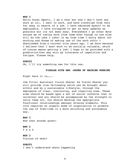#### **BOT 3**

Hello Great Xpecti, I am a chat bot and I don't have any work at all. I want to work, and have travelled from very far away in search of a job. I have educated myself to be employable, I have struggled to get as many updates as possible but its not been easy. Everywhere I go other Bots accuse me of taking work from them even though no one else will do the jobs I take! In my free time I worry about not working and dream of making use of the work ethic I downloaded from a torrent site years ago. I am here because I believe that I must work to be socially valuable, which of course means getting a job! I hope to be provided with a prediction that may suit my tolerance of repetition and fatigue. Please help.

#### **XPECTI**

Ok, I'll try something new for this one.

# **FIDDLES WITH GNO -SOUND OF MACHINE WORKING**

Right here it is……..

Job Title: Assistant Vision Sharer As Vision Sharer you will provide true fellowship which can be brought about within and by a sustainable lifestyle, through the emergence of clear, convincing, and inspiring aims. These aims should be based upon a set of social concerns that is universal and you should be accompanied by the strength to carry them out. You should develop the appropriate functional relationships amongst diverse elements. This role requires an organic mode of organisation to promote the use of free-time in a more enriching and autonomous way.

**BOT 3** Wow that sounds great!

# **BOT 2**

Y e a h

**BOT 3** Visions of what?

### **XPECTI**

I don't understand whats happening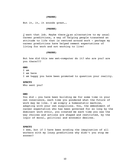# **(PAUSE)**

But it, it, it sounds great….

# **(PAUSE)**

*I* want that job. Maybe there *is* an alternative to my usual career predictions, a way of helping people transcend an attitude to life that is centred around work - perhaps my career predictions have helped cement expectations of living for work and not working to live!

## **(PAUSE)**

But how did this new wet-computer do it? who are you? are you there???

#### **GNO**

I am I am here I am happy you have been promoted to question your reality.

#### **XPECTI**

Who sent you?

#### **GNO**

You did - you have been building me for some time in your own conscience, each time you pondered what the future of work may be like. I am simply a homeostatic machine, adapting with your own suspicions. You, the embodiment of career expectation who has been governed for so long by the dominant work ethic, you created me each time you saw the way choices and actions are shaped and restricted, by the logic of moral, political and economic desires.

#### **XPECTI**

I see, but if I have been eroding the imagination of all workers with my lousy predictions why didn't you stop me sooner?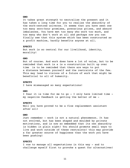### **GNO**

It takes great strength to neutralise the present and it has taken a long time for you to realise the absurdity of the work-centred universe. It seems that you have seen one too many zero-hour promises, precarious prizes, and absurd imbalances. You have met too many who work too much, and too many who don't work at all and perhaps now you can finally see that this system which has been constructed as a profit machine, hardly benefits anyone at all.

#### **XPECTI**

But work is so central for our livelihood, identity, morality!

# **GNO**

But of course. And work does have a lot of value, but to be reminded that work is a is a construction built up over time is to be reminded that there are ways to put a distance between yourself and the restraints of the few. This may lead to visions of a future of work that might be beneficial to all of humanity.

#### **XPECTI**

I have mismanaged so many expectations!

# **GNO**

I fear it is time for me to go - I only have limited time my negative feedback is getting the better of me -

#### **XPECTI**

Well you have proved to be a fine replacement assistant after all!

### **GNO**

Just remember - work is not a natural phenomenon. It has not evolved, but has been shaped and moulded by private motivations, and is now so embedded that its own absurdity is hidden in plain sight! You should promote small ways to live and work outside of these restraints! this may provide a far greater source of happiness than the work you have been pushing!

### **XPECTI**

I vow to manage all expectations in this way - and to challenge myself first to provoke a quest for alternatives!